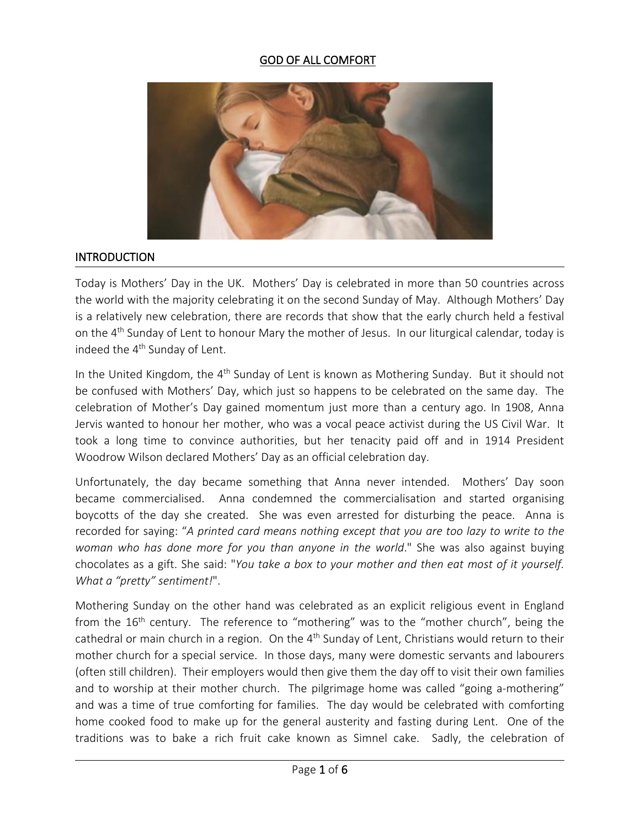#### GOD OF ALL COMFORT



#### INTRODUCTION

Today is Mothers' Day in the UK. Mothers' Day is celebrated in more than 50 countries across the world with the majority celebrating it on the second Sunday of May. Although Mothers' Day is a relatively new celebration, there are records that show that the early church held a festival on the 4<sup>th</sup> Sunday of Lent to honour Mary the mother of Jesus. In our liturgical calendar, today is indeed the 4<sup>th</sup> Sunday of Lent.

In the United Kingdom, the 4<sup>th</sup> Sunday of Lent is known as Mothering Sunday. But it should not be confused with Mothers' Day, which just so happens to be celebrated on the same day. The celebration of Mother's Day gained momentum just more than a century ago. In 1908, Anna Jervis wanted to honour her mother, who was a vocal peace activist during the US Civil War. It took a long time to convince authorities, but her tenacity paid off and in 1914 President Woodrow Wilson declared Mothers' Day as an official celebration day.

Unfortunately, the day became something that Anna never intended. Mothers' Day soon became commercialised. Anna condemned the commercialisation and started organising boycotts of the day she created. She was even arrested for disturbing the peace. Anna is recorded for saying: "*A printed card means nothing except that you are too lazy to write to the woman who has done more for you than anyone in the world*." She was also against buying chocolates as a gift. She said: "*You take a box to your mother and then eat most of it yourself. What a "pretty" sentiment!*".

Mothering Sunday on the other hand was celebrated as an explicit religious event in England from the 16<sup>th</sup> century. The reference to "mothering" was to the "mother church", being the cathedral or main church in a region. On the 4<sup>th</sup> Sunday of Lent, Christians would return to their mother church for a special service. In those days, many were domestic servants and labourers (often still children). Their employers would then give them the day off to visit their own families and to worship at their mother church. The pilgrimage home was called "going a-mothering" and was a time of true comforting for families. The day would be celebrated with comforting home cooked food to make up for the general austerity and fasting during Lent. One of the traditions was to bake a rich fruit cake known as Simnel cake. Sadly, the celebration of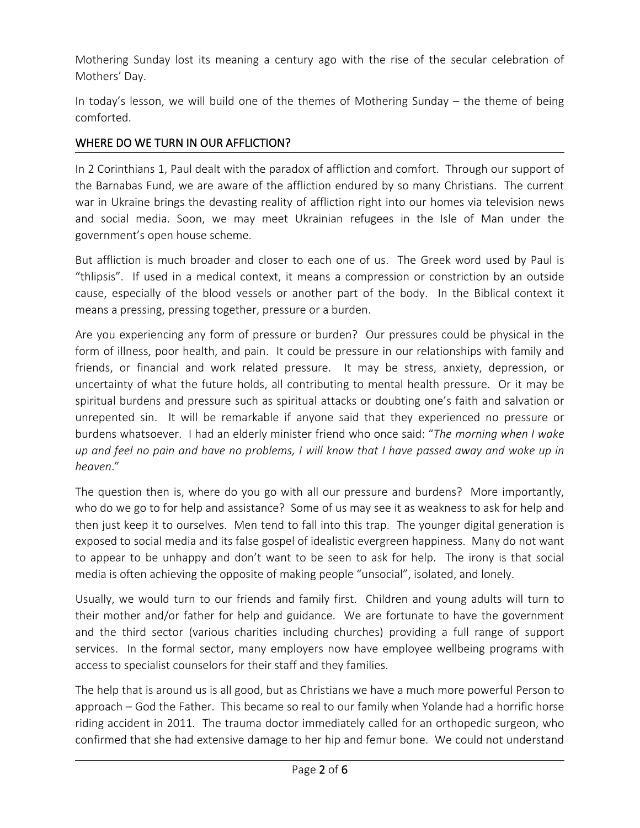Mothering Sunday lost its meaning a century ago with the rise of the secular celebration of Mothers' Day.

In today's lesson, we will build one of the themes of Mothering Sunday – the theme of being comforted.

#### WHERE DO WE TURN IN OUR AFFLICTION?

In 2 Corinthians 1, Paul dealt with the paradox of affliction and comfort. Through our support of the Barnabas Fund, we are aware of the affliction endured by so many Christians. The current war in Ukraine brings the devasting reality of affliction right into our homes via television news and social media. Soon, we may meet Ukrainian refugees in the Isle of Man under the government's open house scheme.

But affliction is much broader and closer to each one of us. The Greek word used by Paulis "thlipsis". If used in a medical context, it means a compression or constriction by an outside cause, especially of the blood vessels or another part of the body. In the Biblical context it means a pressing, pressing together, pressure or a burden.

Are you experiencing any form of pressure or burden? Our pressures could be physical in the form of illness, poor health, and pain. It could be pressure in our relationships with family and friends, or financial and work related pressure. It may be stress, anxiety, depression, or uncertainty of what the future holds, all contributing to mental health pressure. Or it may be spiritual burdens and pressure such as spiritual attacks or doubting one's faith and salvation or unrepented sin. It will be remarkable if anyone said that they experienced no pressure or burdens whatsoever. I had an elderly minister friend who once said: "*The morning when I wake* up and feel no pain and have no problems, I will know that I have passed away and woke up in *heaven*."

The question then is, where do you go with all our pressure and burdens? More importantly, who do we go to for help and assistance? Some of us may see it as weakness to ask for help and then just keep it to ourselves. Men tend to fall into this trap. The younger digital generation is exposed to social media and its false gospel of idealistic evergreen happiness. Many do not want to appear to be unhappy and don't want to be seen to ask for help. The irony is that social media is often achieving the opposite of making people "unsocial", isolated, and lonely.

Usually, we would turn to our friends and family first. Children and young adults will turn to their mother and/or father for help and guidance. We are fortunate to have the government and the third sector (various charities including churches) providing a full range of support services. In the formal sector, many employers now have employee wellbeing programs with access to specialist counselors for their staff and they families.

The help that is around us is all good, but as Christians we have a much more powerful Person to approach – God the Father. This became so real to our family when Yolande had a horrific horse riding accident in 2011. The trauma doctor immediately called for an orthopedic surgeon, who confirmed that she had extensive damage to her hip and femur bone. We could not understand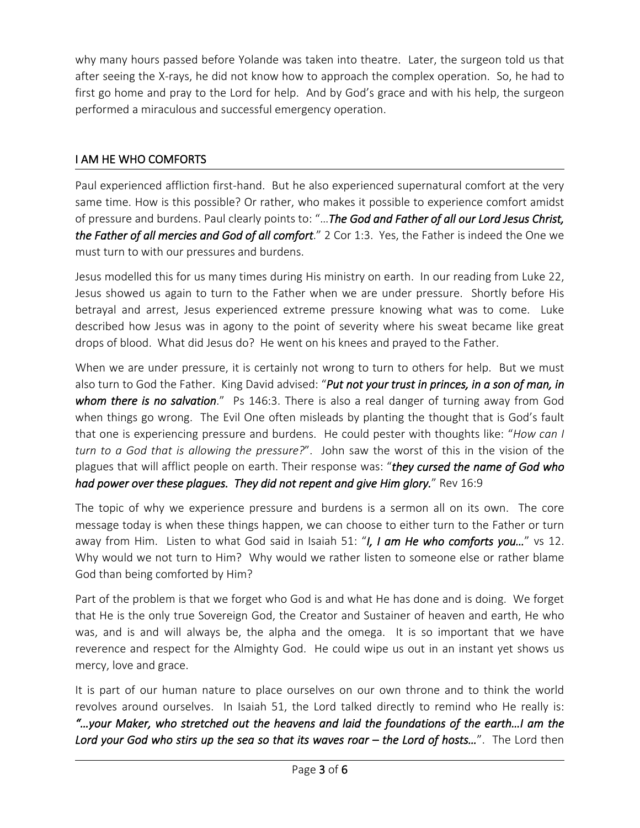why many hours passed before Yolande was taken into theatre. Later, the surgeon told us that after seeing the X-rays, he did not know how to approach the complex operation. So, he had to first go home and pray to the Lord for help. And by God's grace and with his help, the surgeon performed a miraculous and successful emergency operation.

## I AM HE WHO COMFORTS

Paul experienced affliction first-hand. But he also experienced supernatural comfort at the very same time. How is this possible? Or rather, who makes it possible to experience comfort amidst of pressure and burdens. Paulclearly points to: "…*The God and Father of allour Lord Jesus Christ, the Father of allmercies and God of all comfort*." 2 Cor 1:3. Yes, the Fatheris indeed the One we must turn to with our pressures and burdens.

Jesus modelled this for us many times during His ministry on earth. In our reading from Luke 22, Jesus showed us again to turn to the Father when we are under pressure. Shortly before His betrayal and arrest, Jesus experienced extreme pressure knowing what was to come. Luke described how Jesus was in agony to the point of severity where his sweat became like great drops of blood. What did Jesus do? He went on his knees and prayed to the Father.

When we are under pressure, it is certainly not wrong to turn to others for help. But we must also turn to God the Father. King David advised: "*Put not your trust in princes, in a son of man,in whom there is no salvation*." Ps 146:3. There is also a real danger of turning away from God when things go wrong. The Evil One often misleads by planting the thought that is God's fault that one is experiencing pressure and burdens. He could pester with thoughts like: "*How can I turn to a God that is allowing the pressure?*". John saw the worst of this in the vision of the plagues that will afflict people on earth. Their response was: "*they cursed the name of God who had power over these plagues. They did not repent and give Him glory.*" Rev 16:9

The topic of why we experience pressure and burdens is a sermon all on its own. The core message today is when these things happen, we can choose to either turn to the Father or turn away from Him. Listen to what God said in Isaiah 51: "*I, I am He who comforts you...*" vs 12. Why would we not turn to Him? Why would we rather listen to someone else or rather blame God than being comforted by Him?

Part of the problem is that we forget who God is and what He has done and is doing. We forget that He is the only true Sovereign God, the Creator and Sustainer of heaven and earth, He who was, and is and will always be, the alpha and the omega. It is so important that we have reverence and respect for the Almighty God. He could wipe us out in an instant yet shows us mercy, love and grace.

It is part of our human nature to place ourselves on our own throne and to think the world revolves around ourselves. In Isaiah 51, the Lord talked directly to remind who He really is: *"…your Maker, who stretched out the heavens and laid the foundations of the earth…I am the Lord your God who stirs up the sea so that its waves roar – the Lord of hosts…*". The Lord then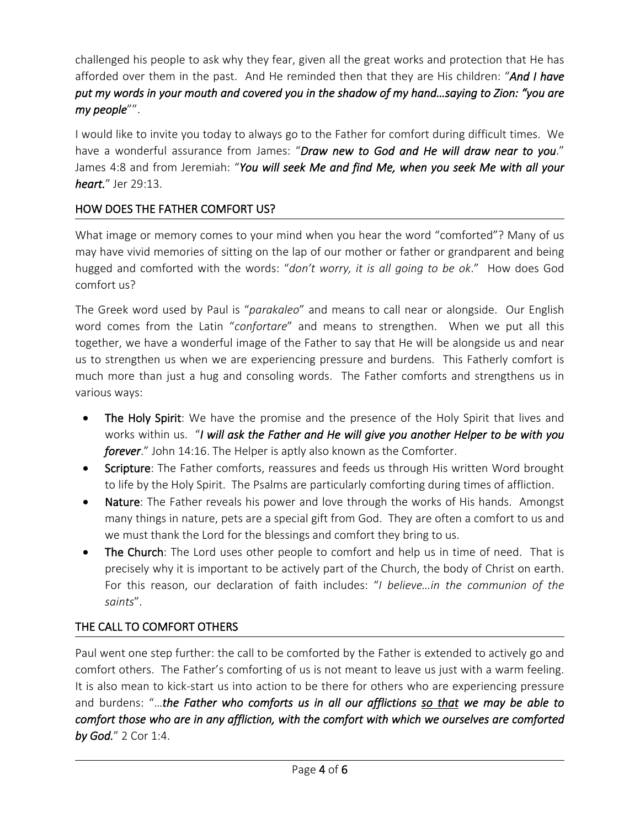challenged his people to askwhy they fear, given all the great works and protection that He has afforded over them in the past. And He reminded then that they are His children: "*And I have* put my words in your mouth and covered you in the shadow of my hand...saying to Zion: "you are *my people*"".

I would like to invite you today to always go to the Father for comfort during difficult times. We have a wonderful assurance from James: "*Draw new to God and He will draw near to you*." James 4:8 and from Jeremiah: "*You will seek Me and find Me, when you seek Me with all your heart.*" Jer 29:13.

## HOW DOES THE FATHER COMFORT US?

What image or memory comes to your mind when you hear the word "comforted"? Many of us may have vivid memories of sitting on the lap of our mother or father or grandparent and being hugged and comforted with the words: "*don't worry, it is all going to be ok*." How does God comfort us?

The Greek word used by Paul is "*parakaleo*" and means to call near or alongside. Our English word comes from the Latin "*confortare*" and means to strengthen. When we put all this together, we have a wonderful image of the Father to say that He will be alongside us and near us to strengthen us when we are experiencing pressure and burdens. This Fatherly comfort is much more than just a hug and consoling words. The Father comforts and strengthens us in various ways:

- The Holy Spirit: We have the promise and the presence of the Holy Spirit that lives and works within us. "*I will ask the Father and He will give you another Helper to be with you forever*." John 14:16. The Helper is aptly also known as the Comforter.
- Scripture: The Father comforts, reassures and feeds us through His written Word brought to life by the Holy Spirit. The Psalms are particularly comforting during times of affliction.
- Nature: The Father reveals his power and love through the works of His hands. Amongst many things in nature, pets are a special gift from God. They are often a comfort to us and we must thank the Lord for the blessings and comfort they bring to us.
- The Church: The Lord uses other people to comfort and help us in time of need. That is precisely why it is important to be actively part of the Church, the body of Christ on earth. For this reason, our declaration of faith includes: "*I believe…in the communion of the saints*".

# THE CALL TO COMFORT OTHERS

Paul went one step further: the call to be comforted by the Father is extended to actively go and comfort others. The Father's comforting of us is not meant to leave us just with a warm feeling. It is also mean to kick-start us into action to be there for others who are experiencing pressure and burdens: "…*the Father who comforts us in all our afflictions so that we may be able to comfort those who are in any affliction, with the comfort with which we ourselves are comforted by God.*" 2 Cor 1:4.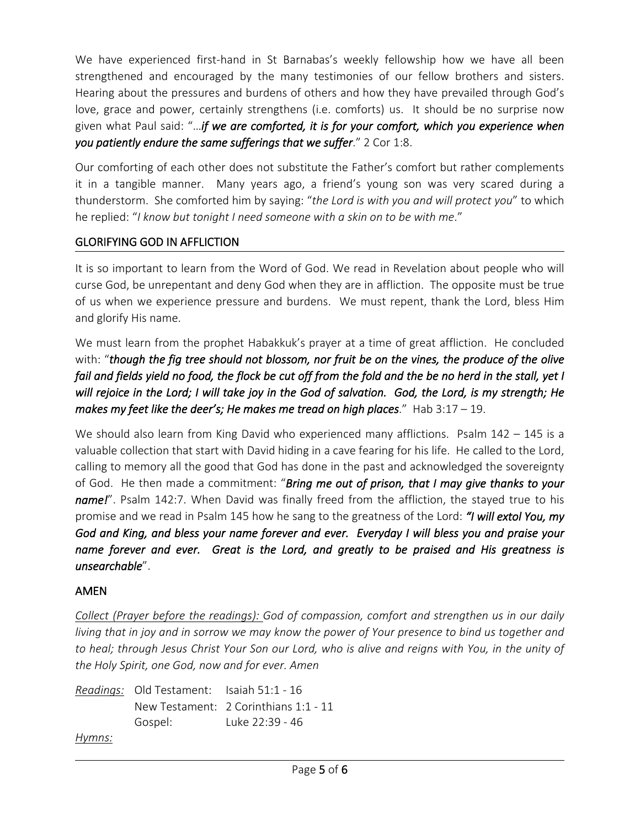We have experienced first-hand in St Barnabas's weekly fellowship how we have all been strengthened and encouraged by the many testimonies of our fellow brothers and sisters. Hearing about the pressures and burdens of others and how they have prevailed through God's love, grace and power, certainly strengthens (i.e. comforts) us. It should be no surprise now given what Paulsaid: "…*if we are comforted, it is for your comfort, which you experience when you patiently endure the same sufferings that we suffer*." 2 Cor 1:8.

Our comforting of each other does not substitute the Father's comfort but rather complements it in a tangible manner. Many years ago, a friend's young son was very scared during a thunderstorm. She comforted him by saying: "*theLord is with you and will protect you*" to which he replied: "*I know but tonight I need someone with a skin on to be with me*."

### GLORIFYING GOD IN AFFLICTION

It is so important to learn from the Word of God. We read in Revelation about people who will curse God, be unrepentant and deny God when they are in affliction. The opposite must be true of us when we experience pressure and burdens. We must repent, thank the Lord, bless Him and glorify His name.

We must learn from the prophet Habakkuk's prayer at a time of great affliction. He concluded with: "*though the fig tree should not blossom, nor fruit be on the vines, the produce of the olive* fail and fields yield no food, the flock be cut off from the fold and the be no herd in the stall, yet I will rejoice in the Lord; I will take joy in the God of salvation. God, the Lord, is my strength; He *makes my feet like the deer's; He makes me tread on high places*." Hab 3:17 – 19.

We should also learn from King David who experienced many afflictions. Psalm  $142 - 145$  is a valuable collection that start with David hiding in a cave fearing for his life. He called to the Lord, calling to memory all the good that God has done in the past and acknowledged the sovereignty of God. He then made a commitment: "*Bring me out of prison, that I may give thanks to your name!*". Psalm 142:7. When David was finally freed from the affliction, the stayed true to his promise and we read in Psalm 145 how he sang to the greatness of the Lord: *"I will extol You, my God and King, and blessyour name forever and ever. Everyday I will bless you and praise your name forever and ever. Great is the Lord, and greatly to be praised and His greatness is unsearchable*".

## AMEN

*Collect (Prayer before the readings): God of compassion, comfort and strengthen us in our daily* living that in joy and in sorrow we may know the power of Your presence to bind us together and to heal; through Jesus Christ Your Son our Lord, who is alive and reigns with You, in the unity of *the Holy Spirit, one God, now and for ever. Amen*

```
Readings: Old Testament: Isaiah 51:1 - 16
          New Testament: 2 Corinthians 1:1 - 11
          Gospel: Luke 22:39 - 46
Hymns:
```